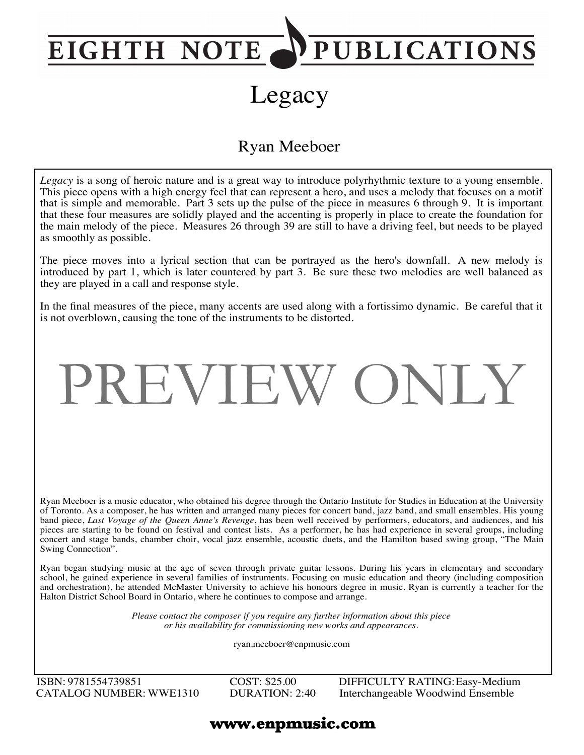### **PUBLICATIONS** EIGHTH NOTE

## Legacy

#### Ryan Meeboer

*Legacy* is a song of heroic nature and is a great way to introduce polyrhythmic texture to a young ensemble. This piece opens with a high energy feel that can represent a hero, and uses a melody that focuses on a motif that is simple and memorable. Part 3 sets up the pulse of the piece in measures 6 through 9. It is important that these four measures are solidly played and the accenting is properly in place to create the foundation for the main melody of the piece. Measures 26 through 39 are still to have a driving feel, but needs to be played as smoothly as possible.

The piece moves into a lyrical section that can be portrayed as the hero's downfall. A new melody is introduced by part 1, which is later countered by part 3. Be sure these two melodies are well balanced as they are played in a call and response style.

In the final measures of the piece, many accents are used along with a fortissimo dynamic. Be careful that it is not overblown, causing the tone of the instruments to be distorted.

# PREVIEW ONLY

Ryan Meeboer is a music educator, who obtained his degree through the Ontario Institute for Studies in Education at the University of Toronto. As a composer, he has written and arranged many pieces for concert band, jazz band, and small ensembles. His young band piece, *Last Voyage of the Queen Anne's Revenge*, has been well received by performers, educators, and audiences, and his pieces are starting to be found on festival and contest lists. As a performer, he has had experience in several groups, including concert and stage bands, chamber choir, vocal jazz ensemble, acoustic duets, and the Hamilton based swing group, "The Main Swing Connection".

Ryan began studying music at the age of seven through private guitar lessons. During his years in elementary and secondary school, he gained experience in several families of instruments. Focusing on music education and theory (including composition and orchestration), he attended McMaster University to achieve his honours degree in music. Ryan is currently a teacher for the Halton District School Board in Ontario, where he continues to compose and arrange.

> *Please contact the composer if you require any further information about this piece or his availability for commissioning new works and appearances.*

> > ryan.meeboer@enpmusic.com

ISBN: 9781554739851 CATALOG NUMBER: WWE1310 COST: \$25.00 DURATION: 2:40 DIFFICULTY RATING:Easy-Medium Interchangeable Woodwind Ensemble

#### **www.enpmusic.com**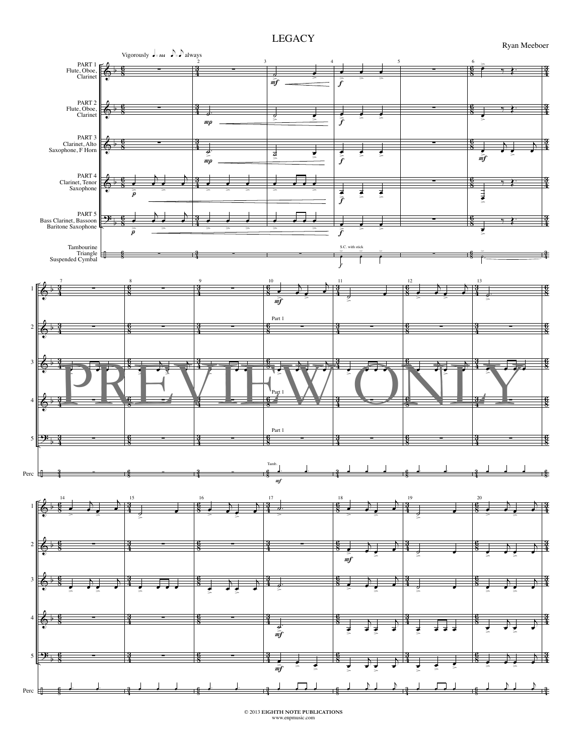

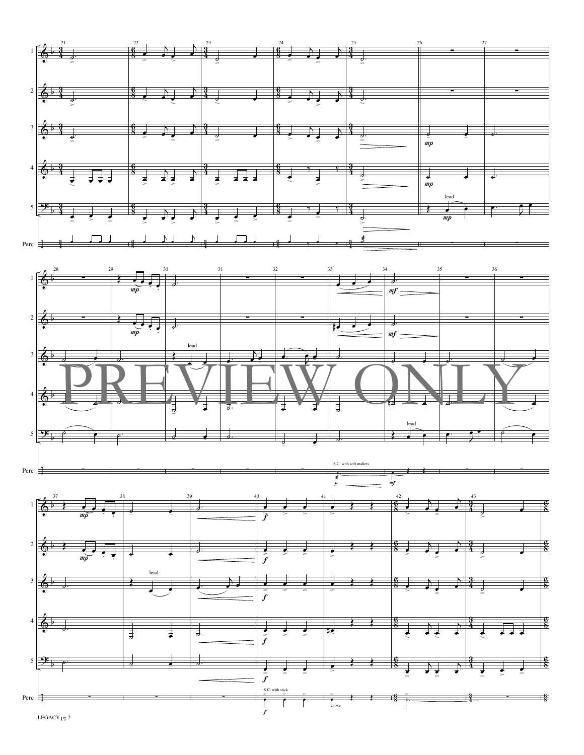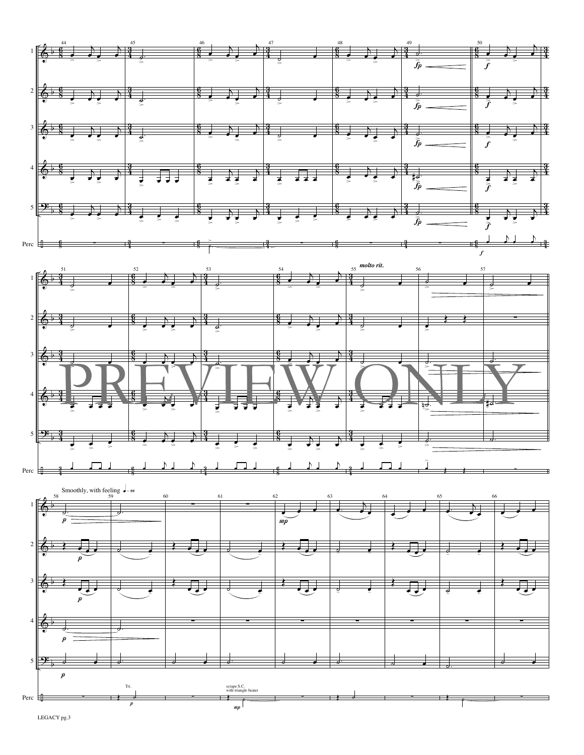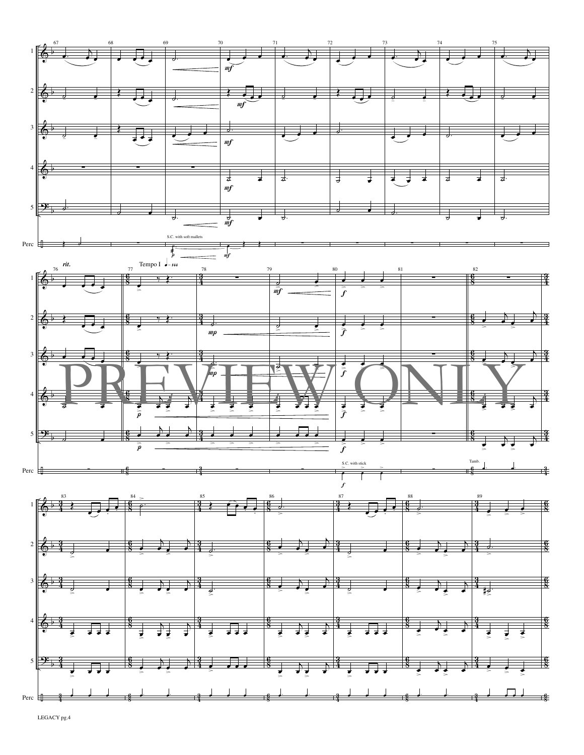

LEGACY pg.4